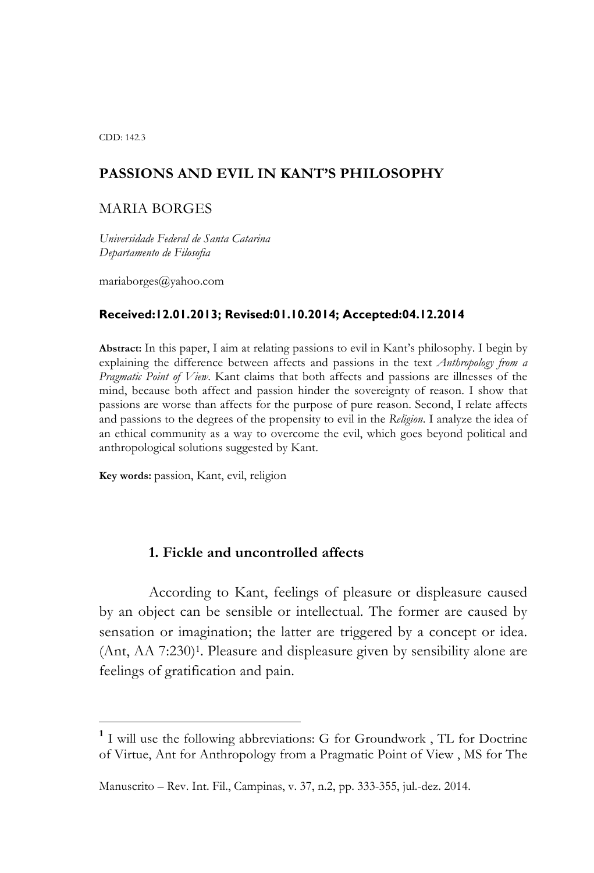CDD: 142.3

# **PASSIONS AND EVIL IN KANT'S PHILOSOPHY**

### MARIA BORGES

*Universidade Federal de Santa Catarina Departamento de Filosofia*

mariaborges@yahoo.com

### **Received:12.01.2013; Revised:01.10.2014; Accepted:04.12.2014**

**Abstract:** In this paper, I aim at relating passions to evil in Kant's philosophy. I begin by explaining the difference between affects and passions in the text *Anthropology from a Pragmatic Point of View*. Kant claims that both affects and passions are illnesses of the mind, because both affect and passion hinder the sovereignty of reason. I show that passions are worse than affects for the purpose of pure reason. Second, I relate affects and passions to the degrees of the propensity to evil in the *Religion*. I analyze the idea of an ethical community as a way to overcome the evil, which goes beyond political and anthropological solutions suggested by Kant.

**Key words:** passion, Kant, evil, religion

# **1. Fickle and uncontrolled affects**

According to Kant, feelings of pleasure or displeasure caused by an object can be sensible or intellectual. The former are caused by sensation or imagination; the latter are triggered by a concept or idea. (Ant, AA 7:230)1. Pleasure and displeasure given by sensibility alone are feelings of gratification and pain.

**<sup>1</sup>** I will use the following abbreviations: G for Groundwork , TL for Doctrine of Virtue, Ant for Anthropology from a Pragmatic Point of View , MS for The

Manuscrito – Rev. Int. Fil., Campinas, v. 37, n.2, pp. 333-355, jul.-dez. 2014.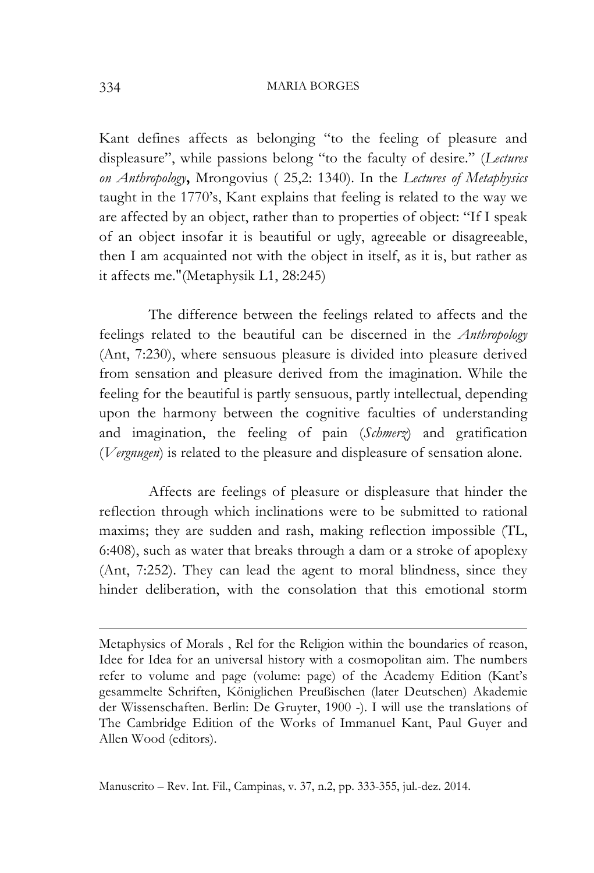Kant defines affects as belonging "to the feeling of pleasure and displeasure", while passions belong "to the faculty of desire." (*Lectures on Anthropology***,** Mrongovius ( 25,2: 1340). In the *Lectures of Metaphysics* taught in the 1770's, Kant explains that feeling is related to the way we are affected by an object, rather than to properties of object: "If I speak of an object insofar it is beautiful or ugly, agreeable or disagreeable, then I am acquainted not with the object in itself, as it is, but rather as it affects me."(Metaphysik L1, 28:245)

The difference between the feelings related to affects and the feelings related to the beautiful can be discerned in the *Anthropology* (Ant, 7:230), where sensuous pleasure is divided into pleasure derived from sensation and pleasure derived from the imagination. While the feeling for the beautiful is partly sensuous, partly intellectual, depending upon the harmony between the cognitive faculties of understanding and imagination, the feeling of pain (*Schmerz*) and gratification (*Vergnugen*) is related to the pleasure and displeasure of sensation alone.

Affects are feelings of pleasure or displeasure that hinder the reflection through which inclinations were to be submitted to rational maxims; they are sudden and rash, making reflection impossible (TL, 6:408), such as water that breaks through a dam or a stroke of apoplexy (Ant, 7:252). They can lead the agent to moral blindness, since they hinder deliberation, with the consolation that this emotional storm

<u>.</u>

Metaphysics of Morals , Rel for the Religion within the boundaries of reason, Idee for Idea for an universal history with a cosmopolitan aim. The numbers refer to volume and page (volume: page) of the Academy Edition (Kant's gesammelte Schriften, Königlichen Preußischen (later Deutschen) Akademie der Wissenschaften. Berlin: De Gruyter, 1900 -). I will use the translations of The Cambridge Edition of the Works of Immanuel Kant, Paul Guyer and Allen Wood (editors).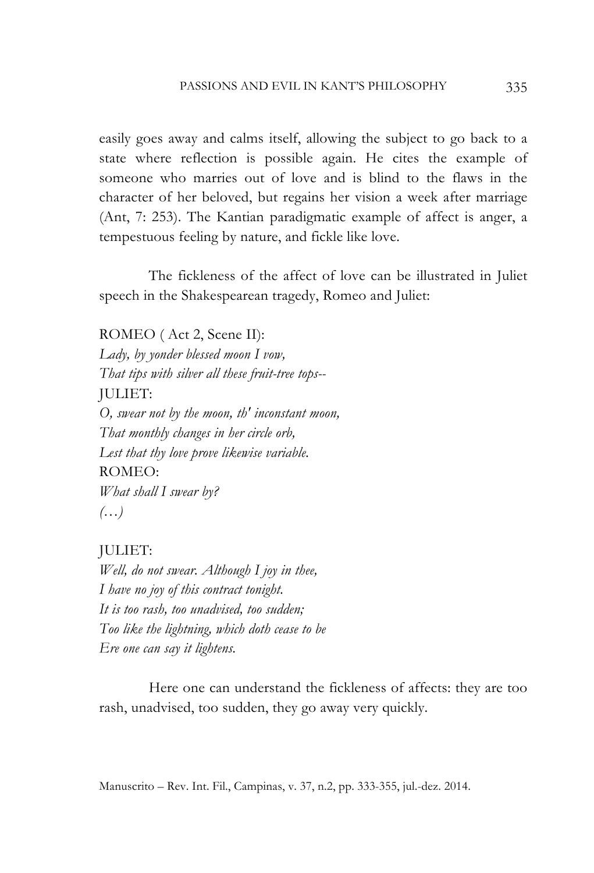easily goes away and calms itself, allowing the subject to go back to a state where reflection is possible again. He cites the example of someone who marries out of love and is blind to the flaws in the character of her beloved, but regains her vision a week after marriage (Ant, 7: 253). The Kantian paradigmatic example of affect is anger, a tempestuous feeling by nature, and fickle like love.

The fickleness of the affect of love can be illustrated in Juliet speech in the Shakespearean tragedy, Romeo and Juliet:

ROMEO ( Act 2, Scene II): *Lady, by yonder blessed moon I vow, That tips with silver all these fruit-tree tops--* JULIET: *O, swear not by the moon, th' inconstant moon, That monthly changes in her circle orb, Lest that thy love prove likewise variable.* ROMEO: *What shall I swear by? (…)*

JULIET:

*Well, do not swear. Although I joy in thee, I have no joy of this contract tonight. It is too rash, too unadvised, too sudden; Too like the lightning, which doth cease to be Ere one can say it lightens.*

Here one can understand the fickleness of affects: they are too rash, unadvised, too sudden, they go away very quickly.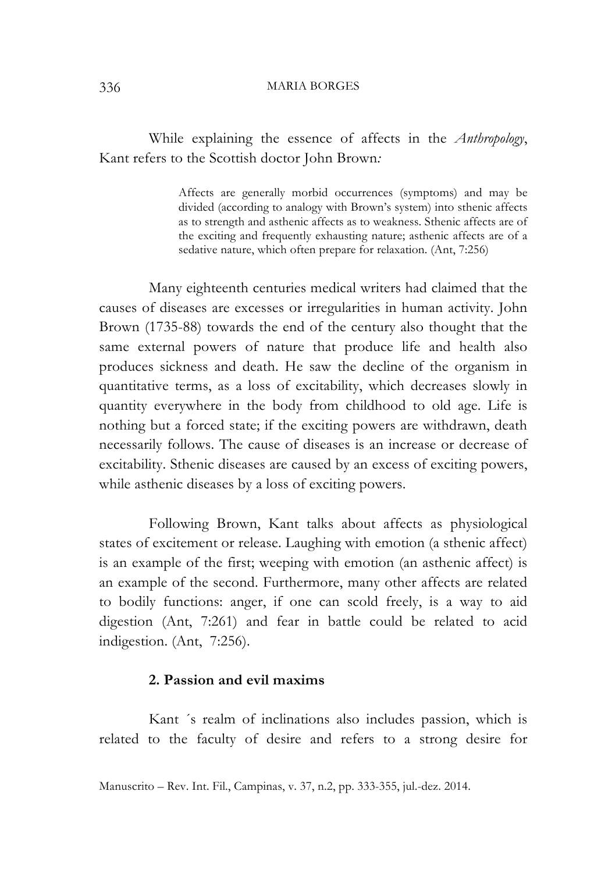While explaining the essence of affects in the *Anthropology*, Kant refers to the Scottish doctor John Brown*:* 

> Affects are generally morbid occurrences (symptoms) and may be divided (according to analogy with Brown's system) into sthenic affects as to strength and asthenic affects as to weakness. Sthenic affects are of the exciting and frequently exhausting nature; asthenic affects are of a sedative nature, which often prepare for relaxation. (Ant, 7:256)

Many eighteenth centuries medical writers had claimed that the causes of diseases are excesses or irregularities in human activity. John Brown (1735-88) towards the end of the century also thought that the same external powers of nature that produce life and health also produces sickness and death. He saw the decline of the organism in quantitative terms, as a loss of excitability, which decreases slowly in quantity everywhere in the body from childhood to old age. Life is nothing but a forced state; if the exciting powers are withdrawn, death necessarily follows. The cause of diseases is an increase or decrease of excitability. Sthenic diseases are caused by an excess of exciting powers, while asthenic diseases by a loss of exciting powers.

Following Brown, Kant talks about affects as physiological states of excitement or release. Laughing with emotion (a sthenic affect) is an example of the first; weeping with emotion (an asthenic affect) is an example of the second. Furthermore, many other affects are related to bodily functions: anger, if one can scold freely, is a way to aid digestion (Ant, 7:261) and fear in battle could be related to acid indigestion. (Ant, 7:256).

# **2. Passion and evil maxims**

Kant ´s realm of inclinations also includes passion, which is related to the faculty of desire and refers to a strong desire for

Manuscrito – Rev. Int. Fil., Campinas, v. 37, n.2, pp. 333-355, jul.-dez. 2014.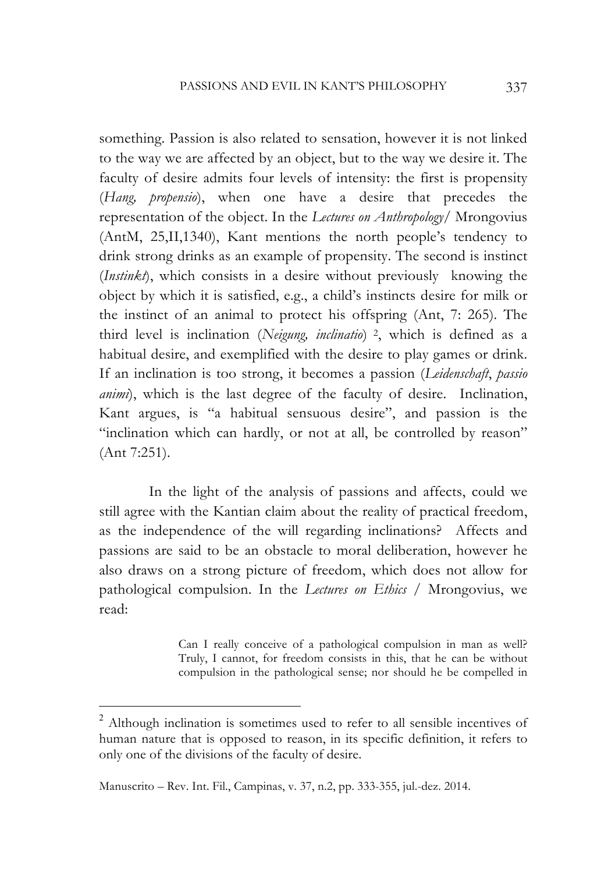something. Passion is also related to sensation, however it is not linked to the way we are affected by an object, but to the way we desire it. The faculty of desire admits four levels of intensity: the first is propensity (*Hang, propensio*), when one have a desire that precedes the representation of the object. In the *Lectures on Anthropology*/ Mrongovius (AntM, 25,II,1340), Kant mentions the north people's tendency to drink strong drinks as an example of propensity. The second is instinct (*Instinkt*), which consists in a desire without previously knowing the object by which it is satisfied, e.g., a child's instincts desire for milk or the instinct of an animal to protect his offspring (Ant, 7: 265). The third level is inclination (*Neigung, inclinatio*) 2, which is defined as a habitual desire, and exemplified with the desire to play games or drink. If an inclination is too strong, it becomes a passion (*Leidenschaft*, *passio animi*), which is the last degree of the faculty of desire. Inclination, Kant argues, is "a habitual sensuous desire", and passion is the "inclination which can hardly, or not at all, be controlled by reason" (Ant 7:251).

In the light of the analysis of passions and affects, could we still agree with the Kantian claim about the reality of practical freedom, as the independence of the will regarding inclinations? Affects and passions are said to be an obstacle to moral deliberation, however he also draws on a strong picture of freedom, which does not allow for pathological compulsion. In the *Lectures on Ethics* / Mrongovius, we read:

> Can I really conceive of a pathological compulsion in man as well? Truly, I cannot, for freedom consists in this, that he can be without compulsion in the pathological sense; nor should he be compelled in

 $2$  Although inclination is sometimes used to refer to all sensible incentives of human nature that is opposed to reason, in its specific definition, it refers to only one of the divisions of the faculty of desire.

Manuscrito – Rev. Int. Fil., Campinas, v. 37, n.2, pp. 333-355, jul.-dez. 2014.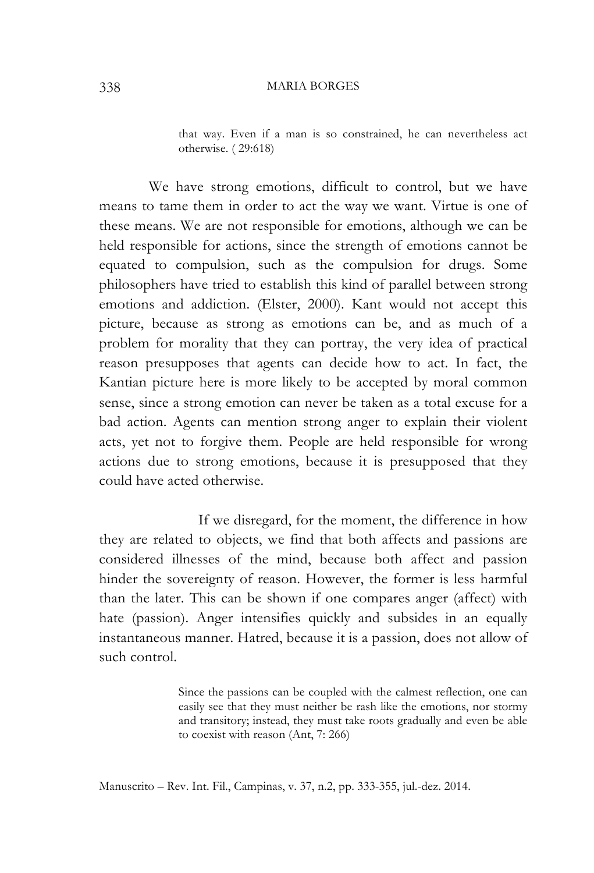that way. Even if a man is so constrained, he can nevertheless act otherwise. ( 29:618)

We have strong emotions, difficult to control, but we have means to tame them in order to act the way we want. Virtue is one of these means. We are not responsible for emotions, although we can be held responsible for actions, since the strength of emotions cannot be equated to compulsion, such as the compulsion for drugs. Some philosophers have tried to establish this kind of parallel between strong emotions and addiction. (Elster, 2000). Kant would not accept this picture, because as strong as emotions can be, and as much of a problem for morality that they can portray, the very idea of practical reason presupposes that agents can decide how to act. In fact, the Kantian picture here is more likely to be accepted by moral common sense, since a strong emotion can never be taken as a total excuse for a bad action. Agents can mention strong anger to explain their violent acts, yet not to forgive them. People are held responsible for wrong actions due to strong emotions, because it is presupposed that they could have acted otherwise.

If we disregard, for the moment, the difference in how they are related to objects, we find that both affects and passions are considered illnesses of the mind, because both affect and passion hinder the sovereignty of reason. However, the former is less harmful than the later. This can be shown if one compares anger (affect) with hate (passion). Anger intensifies quickly and subsides in an equally instantaneous manner. Hatred, because it is a passion, does not allow of such control.

> Since the passions can be coupled with the calmest reflection, one can easily see that they must neither be rash like the emotions, nor stormy and transitory; instead, they must take roots gradually and even be able to coexist with reason (Ant, 7: 266)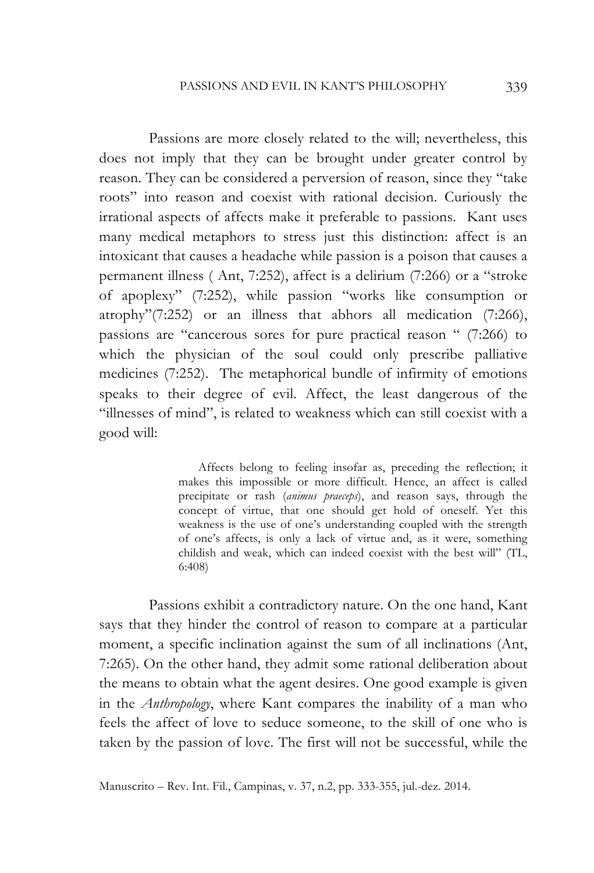Passions are more closely related to the will; nevertheless, this does not imply that they can be brought under greater control by reason. They can be considered a perversion of reason, since they "take roots" into reason and coexist with rational decision. Curiously the irrational aspects of affects make it preferable to passions. Kant uses many medical metaphors to stress just this distinction: affect is an intoxicant that causes a headache while passion is a poison that causes a permanent illness ( Ant, 7:252), affect is a delirium (7:266) or a "stroke of apoplexy" (7:252), while passion "works like consumption or atrophy"(7:252) or an illness that abhors all medication (7:266), passions are "cancerous sores for pure practical reason " (7:266) to which the physician of the soul could only prescribe palliative medicines (7:252). The metaphorical bundle of infirmity of emotions speaks to their degree of evil. Affect, the least dangerous of the "illnesses of mind", is related to weakness which can still coexist with a good will:

> Affects belong to feeling insofar as, preceding the reflection; it makes this impossible or more difficult. Hence, an affect is called precipitate or rash (*animus praeceps*), and reason says, through the concept of virtue, that one should get hold of oneself. Yet this weakness is the use of one's understanding coupled with the strength of one's affects, is only a lack of virtue and, as it were, something childish and weak, which can indeed coexist with the best will" (TL, 6:408)

Passions exhibit a contradictory nature. On the one hand, Kant says that they hinder the control of reason to compare at a particular moment, a specific inclination against the sum of all inclinations (Ant, 7:265). On the other hand, they admit some rational deliberation about the means to obtain what the agent desires. One good example is given in the *Anthropology*, where Kant compares the inability of a man who feels the affect of love to seduce someone, to the skill of one who is taken by the passion of love. The first will not be successful, while the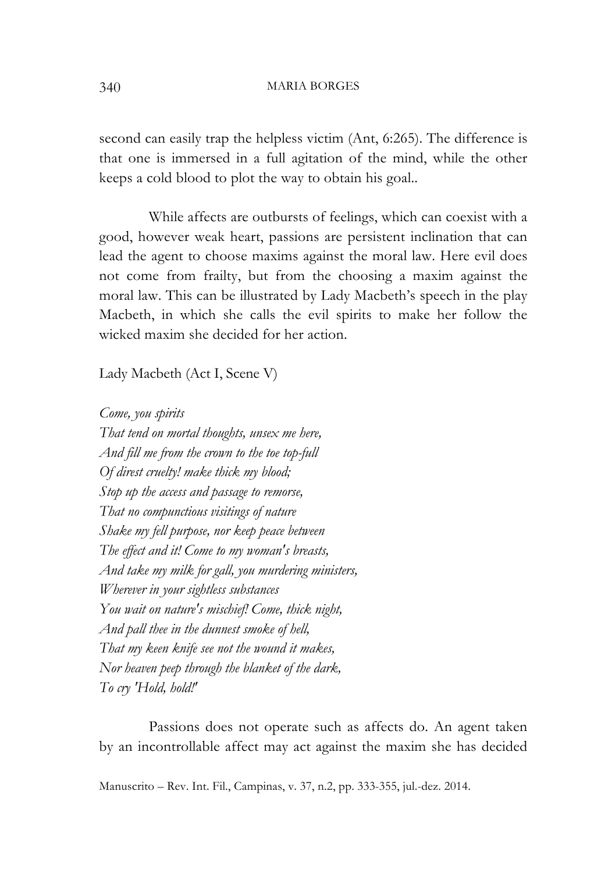second can easily trap the helpless victim (Ant, 6:265). The difference is that one is immersed in a full agitation of the mind, while the other keeps a cold blood to plot the way to obtain his goal..

While affects are outbursts of feelings, which can coexist with a good, however weak heart, passions are persistent inclination that can lead the agent to choose maxims against the moral law. Here evil does not come from frailty, but from the choosing a maxim against the moral law. This can be illustrated by Lady Macbeth's speech in the play Macbeth, in which she calls the evil spirits to make her follow the wicked maxim she decided for her action.

Lady Macbeth (Act I, Scene V)

*Come, you spirits That tend on mortal thoughts, unsex me here, And fill me from the crown to the toe top-full Of direst cruelty! make thick my blood; Stop up the access and passage to remorse, That no compunctious visitings of nature Shake my fell purpose, nor keep peace between The effect and it! Come to my woman's breasts, And take my milk for gall, you murdering ministers, Wherever in your sightless substances You wait on nature's mischief! Come, thick night, And pall thee in the dunnest smoke of hell, That my keen knife see not the wound it makes, Nor heaven peep through the blanket of the dark, To cry 'Hold, hold!'*

Passions does not operate such as affects do. An agent taken by an incontrollable affect may act against the maxim she has decided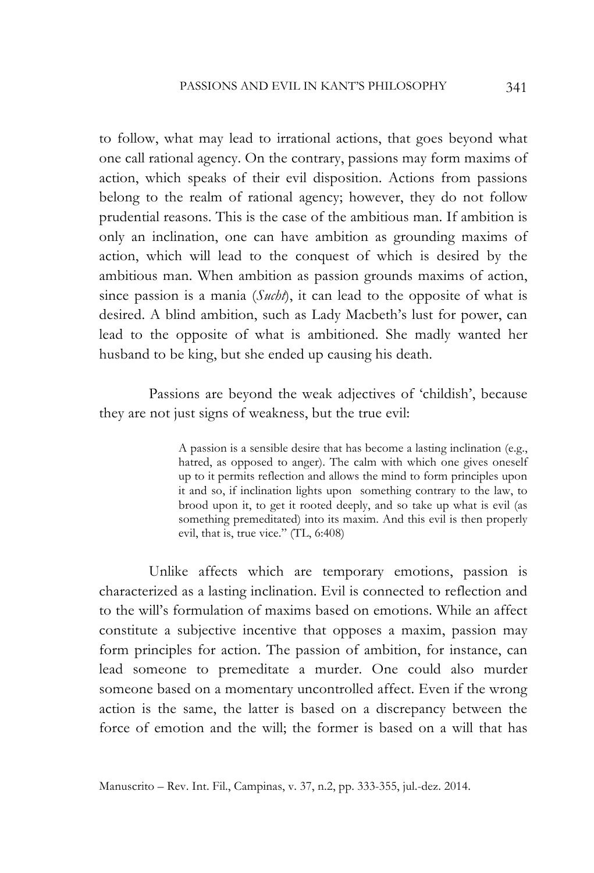to follow, what may lead to irrational actions, that goes beyond what one call rational agency. On the contrary, passions may form maxims of action, which speaks of their evil disposition. Actions from passions belong to the realm of rational agency; however, they do not follow prudential reasons. This is the case of the ambitious man. If ambition is only an inclination, one can have ambition as grounding maxims of action, which will lead to the conquest of which is desired by the ambitious man. When ambition as passion grounds maxims of action, since passion is a mania (*Sucht*), it can lead to the opposite of what is desired. A blind ambition, such as Lady Macbeth's lust for power, can lead to the opposite of what is ambitioned. She madly wanted her husband to be king, but she ended up causing his death.

Passions are beyond the weak adjectives of 'childish', because they are not just signs of weakness, but the true evil:

> A passion is a sensible desire that has become a lasting inclination (e.g., hatred, as opposed to anger). The calm with which one gives oneself up to it permits reflection and allows the mind to form principles upon it and so, if inclination lights upon something contrary to the law, to brood upon it, to get it rooted deeply, and so take up what is evil (as something premeditated) into its maxim. And this evil is then properly evil, that is, true vice." (TL, 6:408)

Unlike affects which are temporary emotions, passion is characterized as a lasting inclination. Evil is connected to reflection and to the will's formulation of maxims based on emotions. While an affect constitute a subjective incentive that opposes a maxim, passion may form principles for action. The passion of ambition, for instance, can lead someone to premeditate a murder. One could also murder someone based on a momentary uncontrolled affect. Even if the wrong action is the same, the latter is based on a discrepancy between the force of emotion and the will; the former is based on a will that has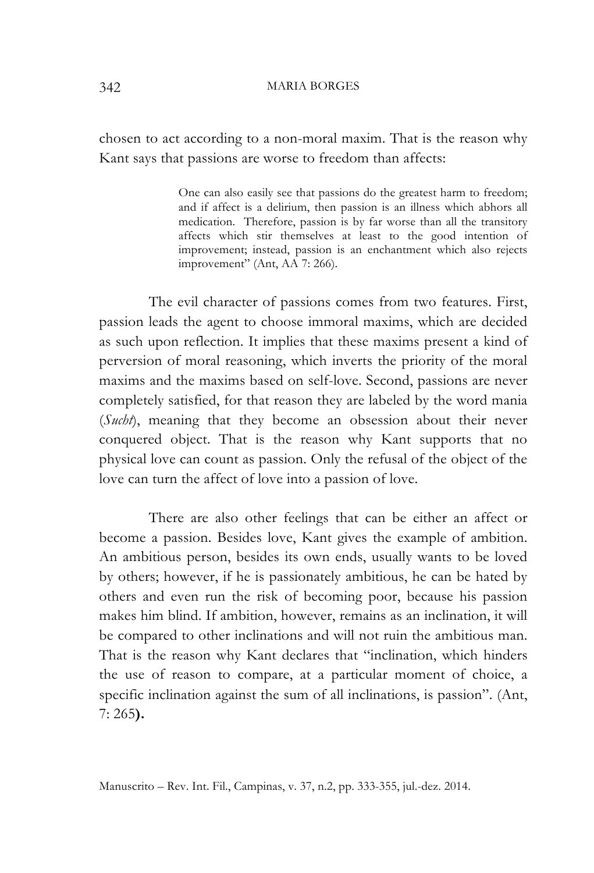chosen to act according to a non-moral maxim. That is the reason why Kant says that passions are worse to freedom than affects:

> One can also easily see that passions do the greatest harm to freedom; and if affect is a delirium, then passion is an illness which abhors all medication. Therefore, passion is by far worse than all the transitory affects which stir themselves at least to the good intention of improvement; instead, passion is an enchantment which also rejects improvement" (Ant, AA 7: 266).

The evil character of passions comes from two features. First, passion leads the agent to choose immoral maxims, which are decided as such upon reflection. It implies that these maxims present a kind of perversion of moral reasoning, which inverts the priority of the moral maxims and the maxims based on self-love. Second, passions are never completely satisfied, for that reason they are labeled by the word mania (*Sucht*), meaning that they become an obsession about their never conquered object. That is the reason why Kant supports that no physical love can count as passion. Only the refusal of the object of the love can turn the affect of love into a passion of love.

There are also other feelings that can be either an affect or become a passion. Besides love, Kant gives the example of ambition. An ambitious person, besides its own ends, usually wants to be loved by others; however, if he is passionately ambitious, he can be hated by others and even run the risk of becoming poor, because his passion makes him blind. If ambition, however, remains as an inclination, it will be compared to other inclinations and will not ruin the ambitious man. That is the reason why Kant declares that "inclination, which hinders the use of reason to compare, at a particular moment of choice, a specific inclination against the sum of all inclinations, is passion". (Ant, 7: 265**).**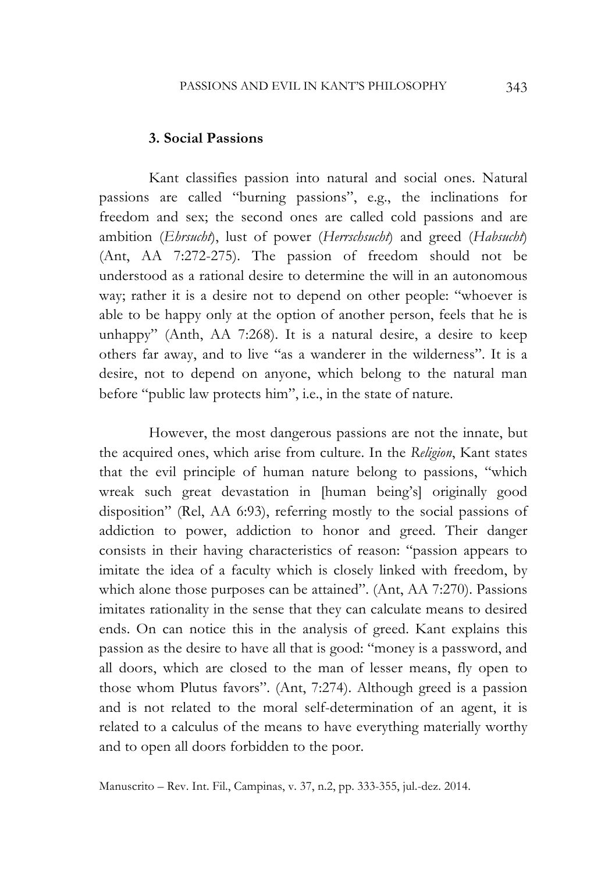### **3. Social Passions**

Kant classifies passion into natural and social ones. Natural passions are called "burning passions", e.g., the inclinations for freedom and sex; the second ones are called cold passions and are ambition (*Ehrsucht*), lust of power (*Herrschsucht*) and greed (*Habsucht*) (Ant, AA 7:272-275). The passion of freedom should not be understood as a rational desire to determine the will in an autonomous way; rather it is a desire not to depend on other people: "whoever is able to be happy only at the option of another person, feels that he is unhappy" (Anth, AA 7:268). It is a natural desire, a desire to keep others far away, and to live "as a wanderer in the wilderness". It is a desire, not to depend on anyone, which belong to the natural man before "public law protects him", i.e., in the state of nature.

However, the most dangerous passions are not the innate, but the acquired ones, which arise from culture. In the *Religion*, Kant states that the evil principle of human nature belong to passions, "which wreak such great devastation in [human being's] originally good disposition" (Rel, AA 6:93), referring mostly to the social passions of addiction to power, addiction to honor and greed. Their danger consists in their having characteristics of reason: "passion appears to imitate the idea of a faculty which is closely linked with freedom, by which alone those purposes can be attained". (Ant, AA 7:270). Passions imitates rationality in the sense that they can calculate means to desired ends. On can notice this in the analysis of greed. Kant explains this passion as the desire to have all that is good: "money is a password, and all doors, which are closed to the man of lesser means, fly open to those whom Plutus favors". (Ant, 7:274). Although greed is a passion and is not related to the moral self-determination of an agent, it is related to a calculus of the means to have everything materially worthy and to open all doors forbidden to the poor.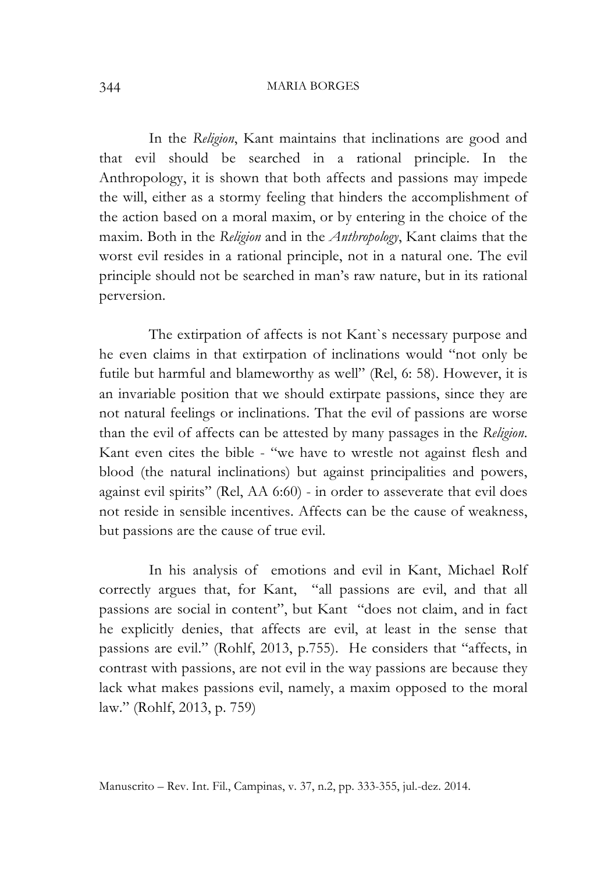In the *Religion*, Kant maintains that inclinations are good and that evil should be searched in a rational principle. In the Anthropology, it is shown that both affects and passions may impede the will, either as a stormy feeling that hinders the accomplishment of the action based on a moral maxim, or by entering in the choice of the maxim. Both in the *Religion* and in the *Anthropology*, Kant claims that the worst evil resides in a rational principle, not in a natural one. The evil principle should not be searched in man's raw nature, but in its rational perversion.

The extirpation of affects is not Kant`s necessary purpose and he even claims in that extirpation of inclinations would "not only be futile but harmful and blameworthy as well" (Rel, 6: 58). However, it is an invariable position that we should extirpate passions, since they are not natural feelings or inclinations. That the evil of passions are worse than the evil of affects can be attested by many passages in the *Religion*. Kant even cites the bible - "we have to wrestle not against flesh and blood (the natural inclinations) but against principalities and powers, against evil spirits" (Rel, AA 6:60) - in order to asseverate that evil does not reside in sensible incentives. Affects can be the cause of weakness, but passions are the cause of true evil.

In his analysis of emotions and evil in Kant, Michael Rolf correctly argues that, for Kant, "all passions are evil, and that all passions are social in content", but Kant "does not claim, and in fact he explicitly denies, that affects are evil, at least in the sense that passions are evil." (Rohlf, 2013, p.755). He considers that "affects, in contrast with passions, are not evil in the way passions are because they lack what makes passions evil, namely, a maxim opposed to the moral law." (Rohlf, 2013, p. 759)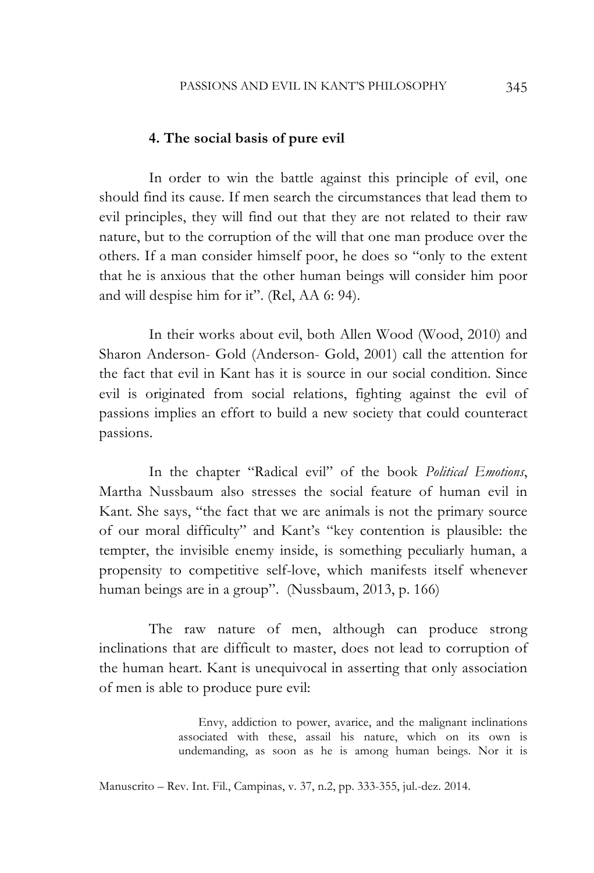### **4. The social basis of pure evil**

In order to win the battle against this principle of evil, one should find its cause. If men search the circumstances that lead them to evil principles, they will find out that they are not related to their raw nature, but to the corruption of the will that one man produce over the others. If a man consider himself poor, he does so "only to the extent that he is anxious that the other human beings will consider him poor and will despise him for it". (Rel, AA 6: 94).

In their works about evil, both Allen Wood (Wood, 2010) and Sharon Anderson- Gold (Anderson- Gold, 2001) call the attention for the fact that evil in Kant has it is source in our social condition. Since evil is originated from social relations, fighting against the evil of passions implies an effort to build a new society that could counteract passions.

In the chapter "Radical evil" of the book *Political Emotions*, Martha Nussbaum also stresses the social feature of human evil in Kant. She says, "the fact that we are animals is not the primary source of our moral difficulty" and Kant's "key contention is plausible: the tempter, the invisible enemy inside, is something peculiarly human, a propensity to competitive self-love, which manifests itself whenever human beings are in a group". (Nussbaum, 2013, p. 166)

The raw nature of men, although can produce strong inclinations that are difficult to master, does not lead to corruption of the human heart. Kant is unequivocal in asserting that only association of men is able to produce pure evil:

> Envy, addiction to power, avarice, and the malignant inclinations associated with these, assail his nature, which on its own is undemanding, as soon as he is among human beings. Nor it is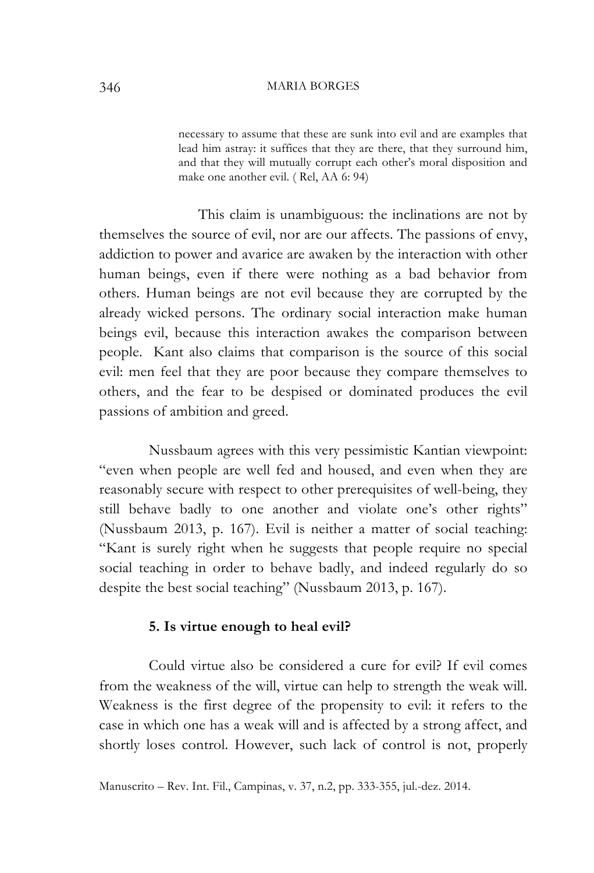necessary to assume that these are sunk into evil and are examples that lead him astray: it suffices that they are there, that they surround him, and that they will mutually corrupt each other's moral disposition and make one another evil. ( Rel, AA 6: 94)

This claim is unambiguous: the inclinations are not by themselves the source of evil, nor are our affects. The passions of envy, addiction to power and avarice are awaken by the interaction with other human beings, even if there were nothing as a bad behavior from others. Human beings are not evil because they are corrupted by the already wicked persons. The ordinary social interaction make human beings evil, because this interaction awakes the comparison between people. Kant also claims that comparison is the source of this social evil: men feel that they are poor because they compare themselves to others, and the fear to be despised or dominated produces the evil passions of ambition and greed.

Nussbaum agrees with this very pessimistic Kantian viewpoint: "even when people are well fed and housed, and even when they are reasonably secure with respect to other prerequisites of well-being, they still behave badly to one another and violate one's other rights" (Nussbaum 2013, p. 167). Evil is neither a matter of social teaching: "Kant is surely right when he suggests that people require no special social teaching in order to behave badly, and indeed regularly do so despite the best social teaching" (Nussbaum 2013, p. 167).

# **5. Is virtue enough to heal evil?**

Could virtue also be considered a cure for evil? If evil comes from the weakness of the will, virtue can help to strength the weak will. Weakness is the first degree of the propensity to evil: it refers to the case in which one has a weak will and is affected by a strong affect, and shortly loses control. However, such lack of control is not, properly

Manuscrito – Rev. Int. Fil., Campinas, v. 37, n.2, pp. 333-355, jul.-dez. 2014.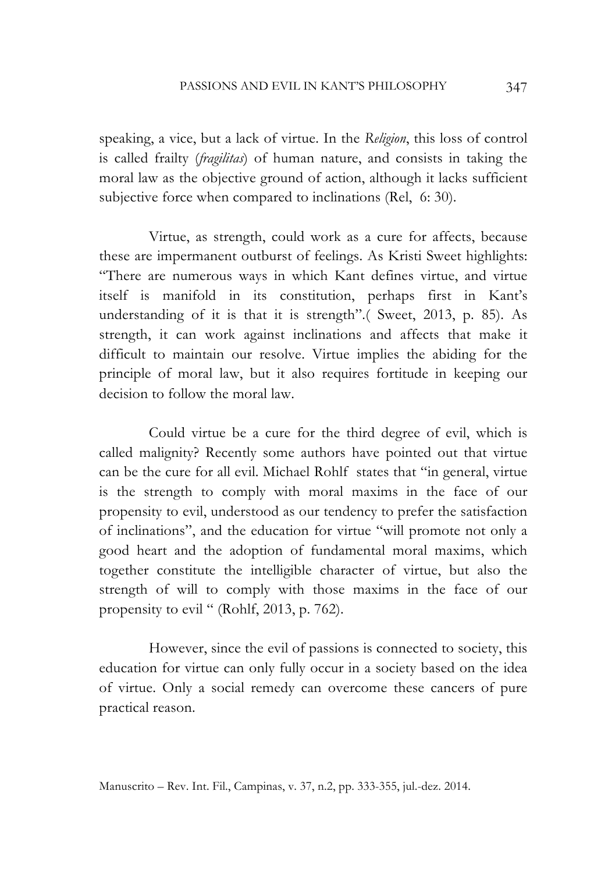speaking, a vice, but a lack of virtue. In the *Religion*, this loss of control is called frailty (*fragilitas*) of human nature, and consists in taking the moral law as the objective ground of action, although it lacks sufficient subjective force when compared to inclinations (Rel, 6: 30).

Virtue, as strength, could work as a cure for affects, because these are impermanent outburst of feelings. As Kristi Sweet highlights: "There are numerous ways in which Kant defines virtue, and virtue itself is manifold in its constitution, perhaps first in Kant's understanding of it is that it is strength".( Sweet, 2013, p. 85). As strength, it can work against inclinations and affects that make it difficult to maintain our resolve. Virtue implies the abiding for the principle of moral law, but it also requires fortitude in keeping our decision to follow the moral law.

Could virtue be a cure for the third degree of evil, which is called malignity? Recently some authors have pointed out that virtue can be the cure for all evil. Michael Rohlf states that "in general, virtue is the strength to comply with moral maxims in the face of our propensity to evil, understood as our tendency to prefer the satisfaction of inclinations", and the education for virtue "will promote not only a good heart and the adoption of fundamental moral maxims, which together constitute the intelligible character of virtue, but also the strength of will to comply with those maxims in the face of our propensity to evil " (Rohlf, 2013, p. 762).

However, since the evil of passions is connected to society, this education for virtue can only fully occur in a society based on the idea of virtue. Only a social remedy can overcome these cancers of pure practical reason.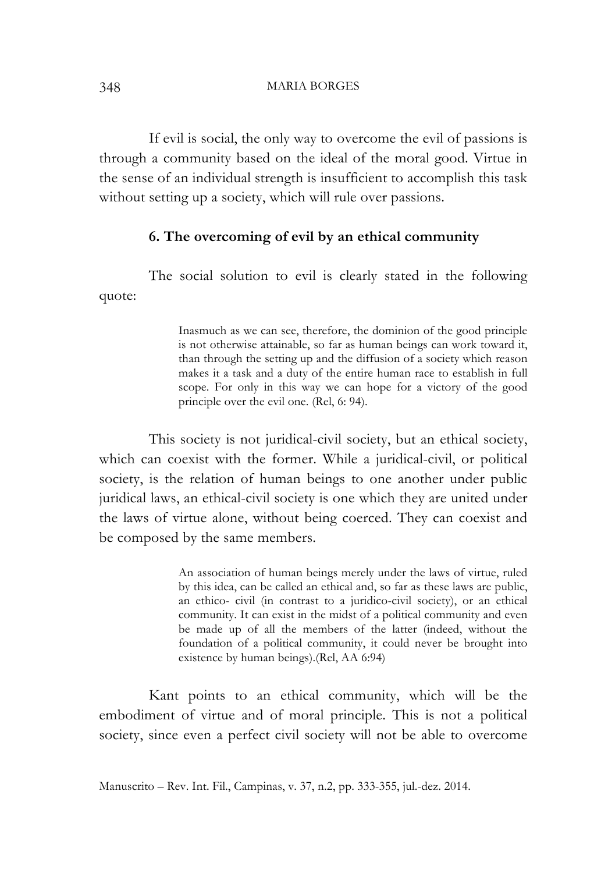If evil is social, the only way to overcome the evil of passions is through a community based on the ideal of the moral good. Virtue in the sense of an individual strength is insufficient to accomplish this task without setting up a society, which will rule over passions.

### **6. The overcoming of evil by an ethical community**

The social solution to evil is clearly stated in the following quote:

> Inasmuch as we can see, therefore, the dominion of the good principle is not otherwise attainable, so far as human beings can work toward it, than through the setting up and the diffusion of a society which reason makes it a task and a duty of the entire human race to establish in full scope. For only in this way we can hope for a victory of the good principle over the evil one. (Rel, 6: 94).

This society is not juridical-civil society, but an ethical society, which can coexist with the former. While a juridical-civil, or political society, is the relation of human beings to one another under public juridical laws, an ethical-civil society is one which they are united under the laws of virtue alone, without being coerced. They can coexist and be composed by the same members.

> An association of human beings merely under the laws of virtue, ruled by this idea, can be called an ethical and, so far as these laws are public, an ethico- civil (in contrast to a juridico-civil society), or an ethical community. It can exist in the midst of a political community and even be made up of all the members of the latter (indeed, without the foundation of a political community, it could never be brought into existence by human beings).(Rel, AA 6:94)

Kant points to an ethical community, which will be the embodiment of virtue and of moral principle. This is not a political society, since even a perfect civil society will not be able to overcome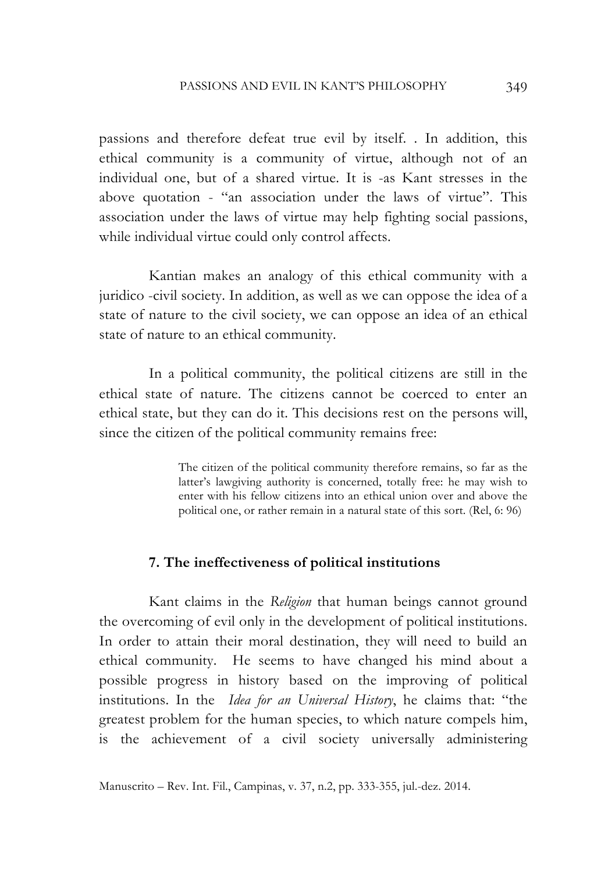passions and therefore defeat true evil by itself. . In addition, this ethical community is a community of virtue, although not of an individual one, but of a shared virtue. It is -as Kant stresses in the above quotation - "an association under the laws of virtue". This association under the laws of virtue may help fighting social passions, while individual virtue could only control affects.

Kantian makes an analogy of this ethical community with a juridico -civil society. In addition, as well as we can oppose the idea of a state of nature to the civil society, we can oppose an idea of an ethical state of nature to an ethical community.

In a political community, the political citizens are still in the ethical state of nature. The citizens cannot be coerced to enter an ethical state, but they can do it. This decisions rest on the persons will, since the citizen of the political community remains free:

> The citizen of the political community therefore remains, so far as the latter's lawgiving authority is concerned, totally free: he may wish to enter with his fellow citizens into an ethical union over and above the political one, or rather remain in a natural state of this sort. (Rel, 6: 96)

### **7. The ineffectiveness of political institutions**

Kant claims in the *Religion* that human beings cannot ground the overcoming of evil only in the development of political institutions. In order to attain their moral destination, they will need to build an ethical community. He seems to have changed his mind about a possible progress in history based on the improving of political institutions. In the *Idea for an Universal History*, he claims that: "the greatest problem for the human species, to which nature compels him, is the achievement of a civil society universally administering

Manuscrito – Rev. Int. Fil., Campinas, v. 37, n.2, pp. 333-355, jul.-dez. 2014.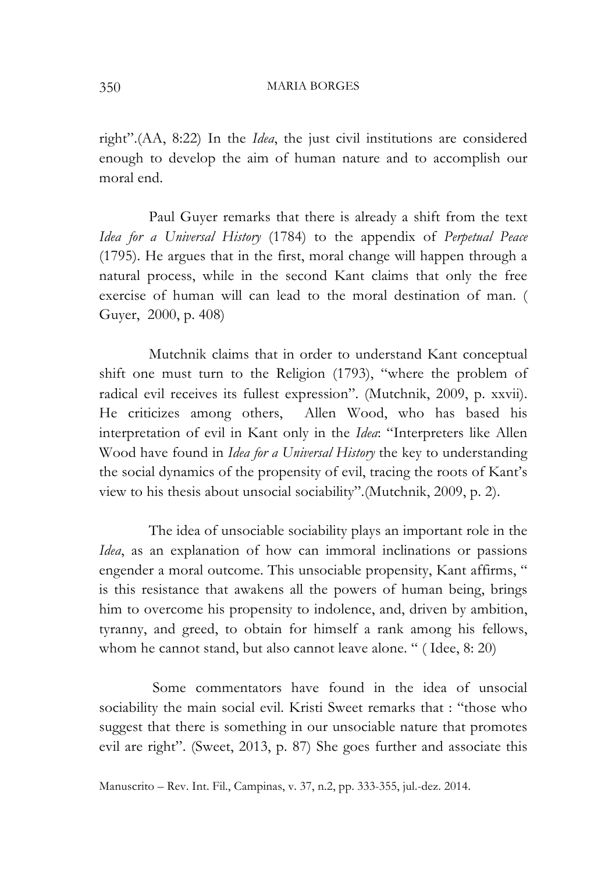right".(AA, 8:22) In the *Idea*, the just civil institutions are considered enough to develop the aim of human nature and to accomplish our moral end.

Paul Guyer remarks that there is already a shift from the text *Idea for a Universal History* (1784) to the appendix of *Perpetual Peace* (1795). He argues that in the first, moral change will happen through a natural process, while in the second Kant claims that only the free exercise of human will can lead to the moral destination of man. ( Guyer, 2000, p. 408)

Mutchnik claims that in order to understand Kant conceptual shift one must turn to the Religion (1793), "where the problem of radical evil receives its fullest expression". (Mutchnik, 2009, p. xxvii). He criticizes among others, Allen Wood, who has based his interpretation of evil in Kant only in the *Idea*: "Interpreters like Allen Wood have found in *Idea for a Universal History* the key to understanding the social dynamics of the propensity of evil, tracing the roots of Kant's view to his thesis about unsocial sociability".(Mutchnik, 2009, p. 2).

The idea of unsociable sociability plays an important role in the *Idea*, as an explanation of how can immoral inclinations or passions engender a moral outcome. This unsociable propensity, Kant affirms, " is this resistance that awakens all the powers of human being, brings him to overcome his propensity to indolence, and, driven by ambition, tyranny, and greed, to obtain for himself a rank among his fellows, whom he cannot stand, but also cannot leave alone. " ( Idee, 8: 20)

Some commentators have found in the idea of unsocial sociability the main social evil. Kristi Sweet remarks that : "those who suggest that there is something in our unsociable nature that promotes evil are right". (Sweet, 2013, p. 87) She goes further and associate this

Manuscrito – Rev. Int. Fil., Campinas, v. 37, n.2, pp. 333-355, jul.-dez. 2014.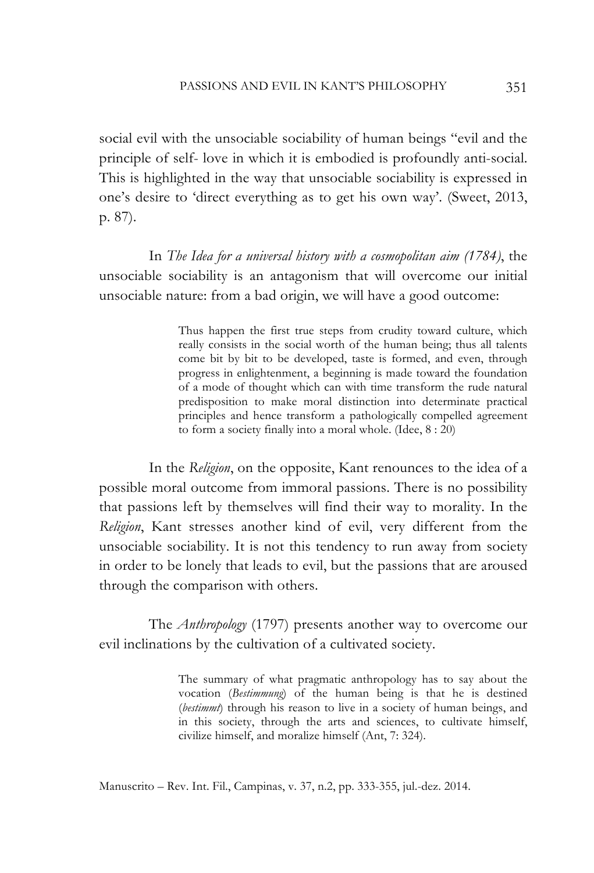social evil with the unsociable sociability of human beings "evil and the principle of self- love in which it is embodied is profoundly anti-social. This is highlighted in the way that unsociable sociability is expressed in one's desire to 'direct everything as to get his own way'. (Sweet, 2013, p. 87).

In *The Idea for a universal history with a cosmopolitan aim (1784)*, the unsociable sociability is an antagonism that will overcome our initial unsociable nature: from a bad origin, we will have a good outcome:

> Thus happen the first true steps from crudity toward culture, which really consists in the social worth of the human being; thus all talents come bit by bit to be developed, taste is formed, and even, through progress in enlightenment, a beginning is made toward the foundation of a mode of thought which can with time transform the rude natural predisposition to make moral distinction into determinate practical principles and hence transform a pathologically compelled agreement to form a society finally into a moral whole. (Idee, 8 : 20)

In the *Religion*, on the opposite, Kant renounces to the idea of a possible moral outcome from immoral passions. There is no possibility that passions left by themselves will find their way to morality. In the *Religion*, Kant stresses another kind of evil, very different from the unsociable sociability. It is not this tendency to run away from society in order to be lonely that leads to evil, but the passions that are aroused through the comparison with others.

The *Anthropology* (1797) presents another way to overcome our evil inclinations by the cultivation of a cultivated society.

> The summary of what pragmatic anthropology has to say about the vocation (*Bestimmung*) of the human being is that he is destined (*bestimmt*) through his reason to live in a society of human beings, and in this society, through the arts and sciences, to cultivate himself, civilize himself, and moralize himself (Ant, 7: 324).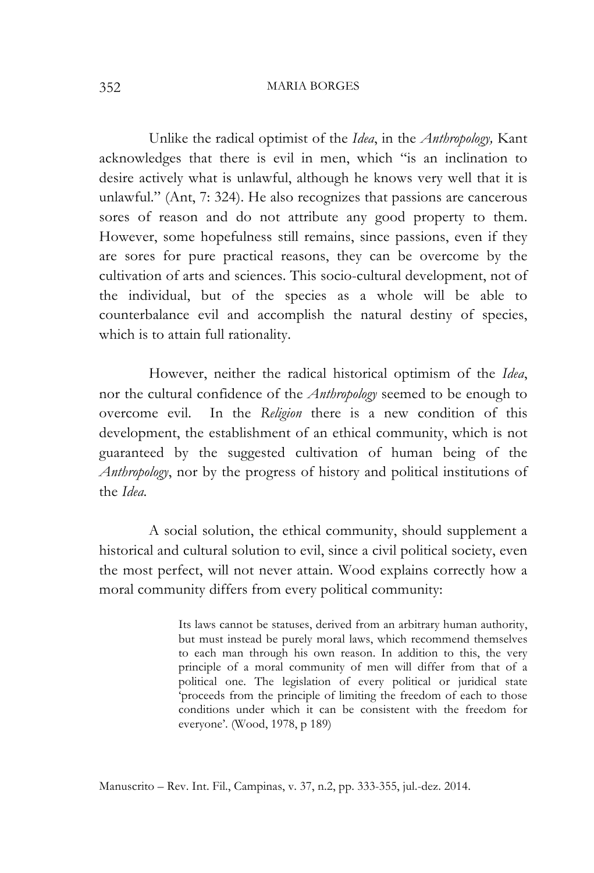Unlike the radical optimist of the *Idea*, in the *Anthropology,* Kant acknowledges that there is evil in men, which "is an inclination to desire actively what is unlawful, although he knows very well that it is unlawful." (Ant, 7: 324). He also recognizes that passions are cancerous sores of reason and do not attribute any good property to them. However, some hopefulness still remains, since passions, even if they are sores for pure practical reasons, they can be overcome by the cultivation of arts and sciences. This socio-cultural development, not of the individual, but of the species as a whole will be able to counterbalance evil and accomplish the natural destiny of species, which is to attain full rationality.

However, neither the radical historical optimism of the *Idea*, nor the cultural confidence of the *Anthropology* seemed to be enough to overcome evil. In the *Religion* there is a new condition of this development, the establishment of an ethical community, which is not guaranteed by the suggested cultivation of human being of the *Anthropology*, nor by the progress of history and political institutions of the *Idea.*

A social solution, the ethical community, should supplement a historical and cultural solution to evil, since a civil political society, even the most perfect, will not never attain. Wood explains correctly how a moral community differs from every political community:

> Its laws cannot be statuses, derived from an arbitrary human authority, but must instead be purely moral laws, which recommend themselves to each man through his own reason. In addition to this, the very principle of a moral community of men will differ from that of a political one. The legislation of every political or juridical state 'proceeds from the principle of limiting the freedom of each to those conditions under which it can be consistent with the freedom for everyone'. (Wood, 1978, p 189)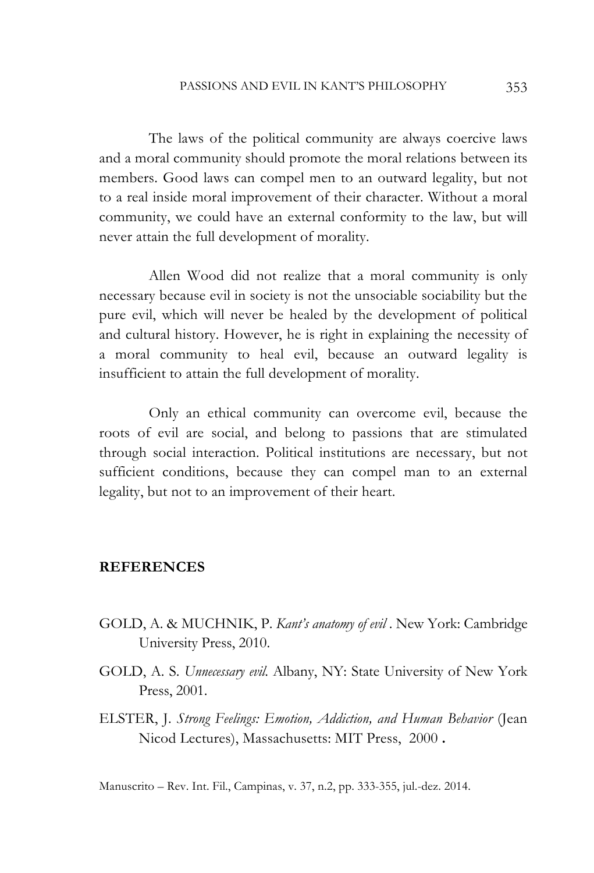The laws of the political community are always coercive laws and a moral community should promote the moral relations between its members. Good laws can compel men to an outward legality, but not to a real inside moral improvement of their character. Without a moral community, we could have an external conformity to the law, but will never attain the full development of morality.

Allen Wood did not realize that a moral community is only necessary because evil in society is not the unsociable sociability but the pure evil, which will never be healed by the development of political and cultural history. However, he is right in explaining the necessity of a moral community to heal evil, because an outward legality is insufficient to attain the full development of morality.

Only an ethical community can overcome evil, because the roots of evil are social, and belong to passions that are stimulated through social interaction. Political institutions are necessary, but not sufficient conditions, because they can compel man to an external legality, but not to an improvement of their heart.

# **REFERENCES**

- GOLD, A. & MUCHNIK, P. *Kant's anatomy of evil* . New York: Cambridge University Press, 2010.
- GOLD, A. S. *Unnecessary evil*. Albany, NY: State University of New York Press, 2001.
- ELSTER, J. *Strong Feelings: Emotion, Addiction, and Human Behavior* (Jean Nicod Lectures), Massachusetts: MIT Press, 2000 **.**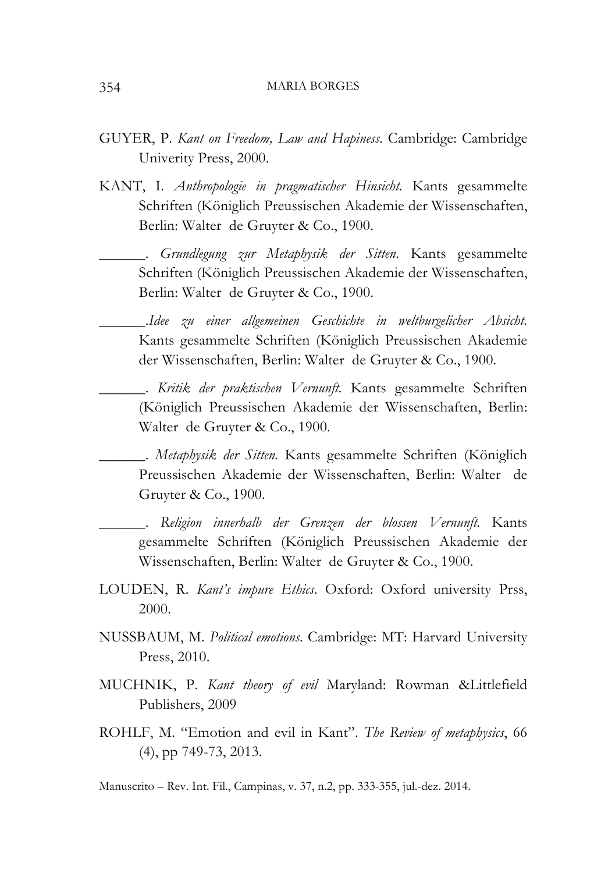- GUYER, P. *Kant on Freedom, Law and Hapiness*. Cambridge: Cambridge Univerity Press, 2000.
- KANT, I. *Anthropologie in pragmatischer Hinsicht.* Kants gesammelte Schriften (Königlich Preussischen Akademie der Wissenschaften, Berlin: Walter de Gruyter & Co., 1900.

\_\_\_\_\_\_. *Grundlegung zur Metaphysik der Sitten*. Kants gesammelte Schriften (Königlich Preussischen Akademie der Wissenschaften, Berlin: Walter de Gruyter & Co., 1900.

\_\_\_\_\_\_.*Idee zu einer allgemeinen Geschichte in weltburgelicher Absicht.* Kants gesammelte Schriften (Königlich Preussischen Akademie der Wissenschaften, Berlin: Walter de Gruyter & Co., 1900.

\_\_\_\_\_\_. *Kritik der praktischen Vernunft.* Kants gesammelte Schriften (Königlich Preussischen Akademie der Wissenschaften, Berlin: Walter de Gruyter & Co., 1900.

\_\_\_\_\_\_. *Metaphysik der Sitten.* Kants gesammelte Schriften (Königlich Preussischen Akademie der Wissenschaften, Berlin: Walter de Gruyter & Co., 1900.

\_\_\_\_\_\_. *Religion innerhalb der Grenzen der blossen Vernunft.* Kants gesammelte Schriften (Königlich Preussischen Akademie der Wissenschaften, Berlin: Walter de Gruyter & Co., 1900.

- LOUDEN, R. *Kant's impure Ethics*. Oxford: Oxford university Prss, 2000.
- NUSSBAUM, M. *Political emotions*. Cambridge: MT: Harvard University Press, 2010.
- MUCHNIK, P. *Kant theory of evil* Maryland: Rowman &Littlefield Publishers, 2009
- ROHLF, M. "Emotion and evil in Kant". *The Review of metaphysics*, 66 (4), pp 749-73, 2013.